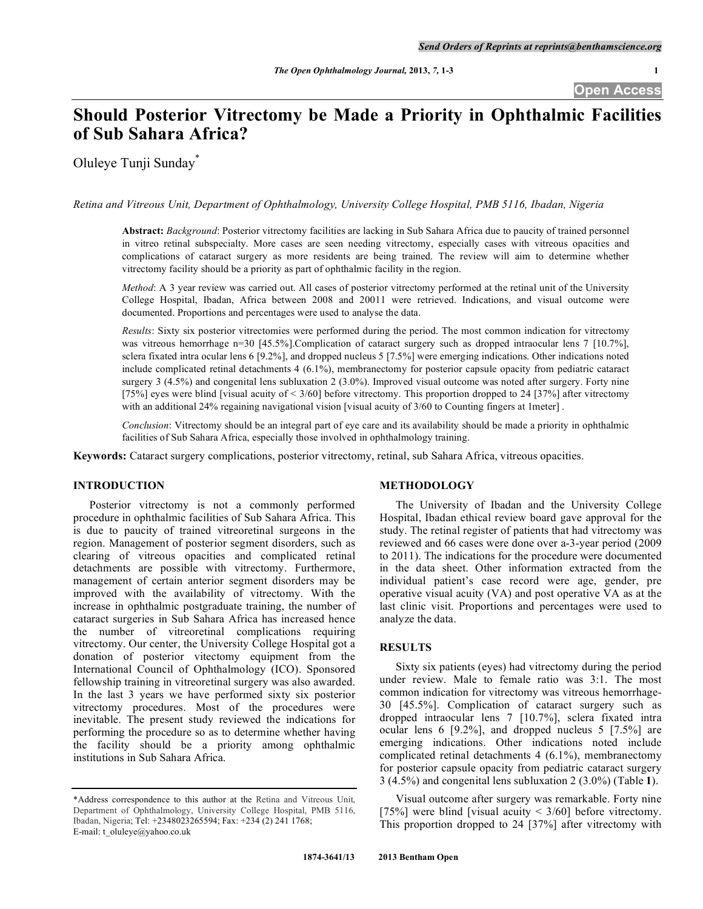# **Should Posterior Vitrectomy be Made a Priority in Ophthalmic Facilities of Sub Sahara Africa?**

Oluleye Tunji Sunday\*

*Retina and Vitreous Unit, Department of Ophthalmology, University College Hospital, PMB 5116, Ibadan, Nigeria* 

**Abstract:** *Background*: Posterior vitrectomy facilities are lacking in Sub Sahara Africa due to paucity of trained personnel in vitreo retinal subspecialty. More cases are seen needing vitrectomy, especially cases with vitreous opacities and complications of cataract surgery as more residents are being trained. The review will aim to determine whether vitrectomy facility should be a priority as part of ophthalmic facility in the region.

*Method*: A 3 year review was carried out. All cases of posterior vitrectomy performed at the retinal unit of the University College Hospital, Ibadan, Africa between 2008 and 20011 were retrieved. Indications, and visual outcome were documented. Proportions and percentages were used to analyse the data.

*Results*: Sixty six posterior vitrectomies were performed during the period. The most common indication for vitrectomy was vitreous hemorrhage n=30 [45.5%].Complication of cataract surgery such as dropped intraocular lens 7 [10.7%], sclera fixated intra ocular lens 6 [9.2%], and dropped nucleus 5 [7.5%] were emerging indications. Other indications noted include complicated retinal detachments 4 (6.1%), membranectomy for posterior capsule opacity from pediatric cataract surgery 3 (4.5%) and congenital lens subluxation 2 (3.0%). Improved visual outcome was noted after surgery. Forty nine [75%] eyes were blind [visual acuity of  $\leq 3/60$ ] before vitrectomy. This proportion dropped to 24 [37%] after vitrectomy with an additional 24% regaining navigational vision [visual acuity of 3/60 to Counting fingers at 1meter] .

*Conclusion*: Vitrectomy should be an integral part of eye care and its availability should be made a priority in ophthalmic facilities of Sub Sahara Africa, especially those involved in ophthalmology training.

**Keywords:** Cataract surgery complications, posterior vitrectomy, retinal, sub Sahara Africa, vitreous opacities.

## **INTRODUCTION**

 Posterior vitrectomy is not a commonly performed procedure in ophthalmic facilities of Sub Sahara Africa. This is due to paucity of trained vitreoretinal surgeons in the region. Management of posterior segment disorders, such as clearing of vitreous opacities and complicated retinal detachments are possible with vitrectomy. Furthermore, management of certain anterior segment disorders may be improved with the availability of vitrectomy. With the increase in ophthalmic postgraduate training, the number of cataract surgeries in Sub Sahara Africa has increased hence the number of vitreoretinal complications requiring vitrectomy. Our center, the University College Hospital got a donation of posterior vitectomy equipment from the International Council of Ophthalmology (ICO). Sponsored fellowship training in vitreoretinal surgery was also awarded. In the last 3 years we have performed sixty six posterior vitrectomy procedures. Most of the procedures were inevitable. The present study reviewed the indications for performing the procedure so as to determine whether having the facility should be a priority among ophthalmic institutions in Sub Sahara Africa.

## **METHODOLOGY**

 The University of Ibadan and the University College Hospital, Ibadan ethical review board gave approval for the study. The retinal register of patients that had vitrectomy was reviewed and 66 cases were done over a-3-year period (2009 to 2011). The indications for the procedure were documented in the data sheet. Other information extracted from the individual patient's case record were age, gender, pre operative visual acuity (VA) and post operative VA as at the last clinic visit. Proportions and percentages were used to analyze the data.

## **RESULTS**

 Sixty six patients (eyes) had vitrectomy during the period under review. Male to female ratio was 3:1. The most common indication for vitrectomy was vitreous hemorrhage-30 [45.5%]. Complication of cataract surgery such as dropped intraocular lens 7 [10.7%], sclera fixated intra ocular lens 6 [9.2%], and dropped nucleus 5 [7.5%] are emerging indications. Other indications noted include complicated retinal detachments 4 (6.1%), membranectomy for posterior capsule opacity from pediatric cataract surgery 3 (4.5%) and congenital lens subluxation 2 (3.0%) (Table **1**).

 Visual outcome after surgery was remarkable. Forty nine [75%] were blind [visual acuity  $\leq$  3/60] before vitrectomy. This proportion dropped to 24 [37%] after vitrectomy with

<sup>\*</sup>Address correspondence to this author at the Retina and Vitreous Unit, Department of Ophthalmology, University College Hospital, PMB 5116, Ibadan, Nigeria; Tel: +2348023265594; Fax: +234 (2) 241 1768; E-mail: t\_oluleye@yahoo.co.uk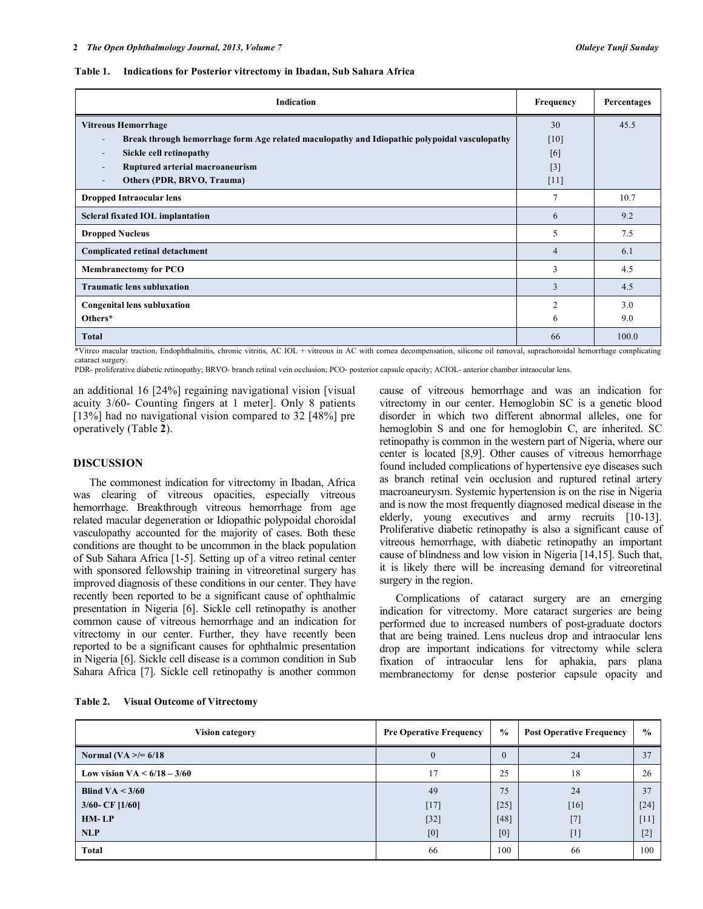#### **Table 1. Indications for Posterior vitrectomy in Ibadan, Sub Sahara Africa**

| Indication                                                                                                               |                | Percentages |
|--------------------------------------------------------------------------------------------------------------------------|----------------|-------------|
| <b>Vitreous Hemorrhage</b>                                                                                               | 30             | 45.5        |
| Break through hemorrhage form Age related maculopathy and Idiopathic polypoidal vasculopathy<br>$\overline{\phantom{a}}$ | [10]           |             |
| Sickle cell retinopathy<br>$\overline{\phantom{a}}$                                                                      | [6]            |             |
| Ruptured arterial macroaneurism                                                                                          | $[3]$          |             |
| Others (PDR, BRVO, Trauma)                                                                                               | [11]           |             |
| <b>Dropped Intraocular lens</b>                                                                                          | $\tau$         | 10.7        |
| Scleral fixated IOL implantation                                                                                         | 6              | 9.2         |
| <b>Dropped Nucleus</b>                                                                                                   | 5              | 7.5         |
| <b>Complicated retinal detachment</b>                                                                                    | $\overline{4}$ | 6.1         |
| <b>Membranectomy for PCO</b>                                                                                             | 3              | 4.5         |
| <b>Traumatic lens subluxation</b>                                                                                        | 3              | 4.5         |
| <b>Congenital lens subluxation</b>                                                                                       |                | 3.0         |
| Others*                                                                                                                  | 6              | 9.0         |
| <b>Total</b>                                                                                                             | 66             | 100.0       |

\*Vitreo macular traction, Endophthalmitis, chronic vitritis, AC IOL + vitreous in AC with cornea decompensation, silicone oil removal, suprachoroidal hemorrhage complicating cataract surgery.

PDR- proliferative diabetic retinopathy; BRVO- branch retinal vein occlusion; PCO- posterior capsule opacity; ACIOL- anterior chamber intraocular lens.

an additional 16 [24%] regaining navigational vision [visual acuity 3/60- Counting fingers at 1 meter]. Only 8 patients [13%] had no navigational vision compared to 32 [48%] pre operatively (Table **2**).

### **DISCUSSION**

 The commonest indication for vitrectomy in Ibadan, Africa was clearing of vitreous opacities, especially vitreous hemorrhage. Breakthrough vitreous hemorrhage from age related macular degeneration or Idiopathic polypoidal choroidal vasculopathy accounted for the majority of cases. Both these conditions are thought to be uncommon in the black population of Sub Sahara Africa [1-5]. Setting up of a vitreo retinal center with sponsored fellowship training in vitreoretinal surgery has improved diagnosis of these conditions in our center. They have recently been reported to be a significant cause of ophthalmic presentation in Nigeria [6]. Sickle cell retinopathy is another common cause of vitreous hemorrhage and an indication for vitrectomy in our center. Further, they have recently been reported to be a significant causes for ophthalmic presentation in Nigeria [6]. Sickle cell disease is a common condition in Sub Sahara Africa [7]. Sickle cell retinopathy is another common cause of vitreous hemorrhage and was an indication for vitrectomy in our center. Hemoglobin SC is a genetic blood disorder in which two different abnormal alleles, one for hemoglobin S and one for hemoglobin C, are inherited. SC retinopathy is common in the western part of Nigeria, where our center is located [8,9]. Other causes of vitreous hemorrhage found included complications of hypertensive eye diseases such as branch retinal vein occlusion and ruptured retinal artery macroaneurysm. Systemic hypertension is on the rise in Nigeria and is now the most frequently diagnosed medical disease in the elderly, young executives and army recruits [10-13]. Proliferative diabetic retinopathy is also a significant cause of vitreous hemorrhage, with diabetic retinopathy an important cause of blindness and low vision in Nigeria [14,15]. Such that, it is likely there will be increasing demand for vitreoretinal surgery in the region.

 Complications of cataract surgery are an emerging indication for vitrectomy. More cataract surgeries are being performed due to increased numbers of post-graduate doctors that are being trained. Lens nucleus drop and intraocular lens drop are important indications for vitrectomy while sclera fixation of intraocular lens for aphakia, pars plana membranectomy for dense posterior capsule opacity and

| Table 2. | <b>Visual Outcome of Vitrectomy</b> |  |
|----------|-------------------------------------|--|
|          |                                     |  |

| <b>Vision category</b>        | <b>Pre Operative Frequency</b> | $\frac{0}{0}$ | <b>Post Operative Frequency</b> | $\frac{0}{0}$ |
|-------------------------------|--------------------------------|---------------|---------------------------------|---------------|
| Normal (VA $\ge$ /= 6/18      | $\theta$                       | $\Omega$      | 24                              | 37            |
| Low vision $VA < 6/18 - 3/60$ | 17                             | 25            | 18                              | 26            |
| Blind VA $<$ 3/60             | 49                             | 75            | 24                              | 37            |
| $3/60$ - CF [1/60]            | $[17]$                         | $[25]$        | $[16]$                          | $[24]$        |
| $HM-LP$                       | $[32]$                         | [48]          | $[7]$                           | [11]          |
| <b>NLP</b>                    | [0]                            | [0]           | $[1]$                           | $[2]$         |
| Total                         | 66                             | 100           | 66                              | 100           |